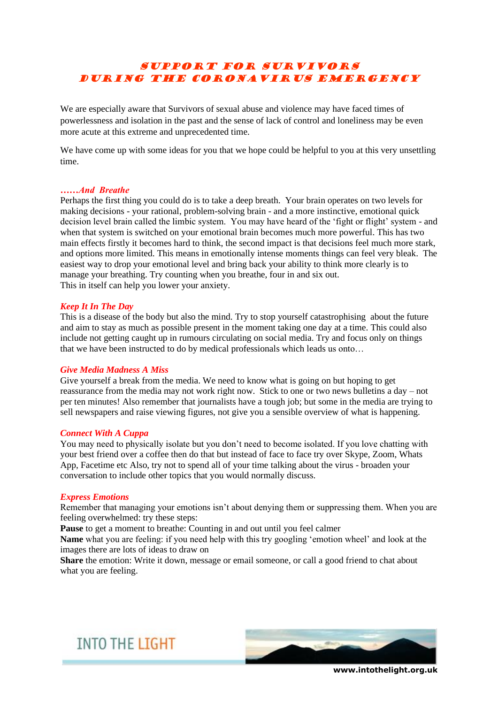# SUPPORT FOR SURVIVORS DURING THE CORONAVIRUS EMERGENCY

We are especially aware that Survivors of sexual abuse and violence may have faced times of powerlessness and isolation in the past and the sense of lack of control and loneliness may be even more acute at this extreme and unprecedented time.

We have come up with some ideas for you that we hope could be helpful to you at this very unsettling time.

# *……And Breathe*

Perhaps the first thing you could do is to take a deep breath. Your brain operates on two levels for making decisions - your rational, problem-solving brain - and a more instinctive, emotional quick decision level brain called the limbic system. You may have heard of the 'fight or flight' system - and when that system is switched on your emotional brain becomes much more powerful. This has two main effects firstly it becomes hard to think, the second impact is that decisions feel much more stark, and options more limited. This means in emotionally intense moments things can feel very bleak. The easiest way to drop your emotional level and bring back your ability to think more clearly is to manage your breathing. Try counting when you breathe, four in and six out. This in itself can help you lower your anxiety.

# *Keep It In The Day*

This is a disease of the body but also the mind. Try to stop yourself catastrophising about the future and aim to stay as much as possible present in the moment taking one day at a time. This could also include not getting caught up in rumours circulating on social media. Try and focus only on things that we have been instructed to do by medical professionals which leads us onto…

#### *Give Media Madness A Miss*

Give yourself a break from the media. We need to know what is going on but hoping to get reassurance from the media may not work right now. Stick to one or two news bulletins a day – not per ten minutes! Also remember that journalists have a tough job; but some in the media are trying to sell newspapers and raise viewing figures, not give you a sensible overview of what is happening.

#### *Connect With A Cuppa*

You may need to physically isolate but you don't need to become isolated. If you love chatting with your best friend over a coffee then do that but instead of face to face try over Skype, Zoom, Whats App, Facetime etc Also, try not to spend all of your time talking about the virus - broaden your conversation to include other topics that you would normally discuss.

#### *Express Emotions*

Remember that managing your emotions isn't about denying them or suppressing them. When you are feeling overwhelmed: try these steps:

**Pause** to get a moment to breathe: Counting in and out until you feel calmer

**Name** what you are feeling: if you need help with this try googling 'emotion wheel' and look at the images there are lots of ideas to draw on

**Share** the emotion: Write it down, message or email someone, or call a good friend to chat about what you are feeling.





**www.intothelight.org.uk**